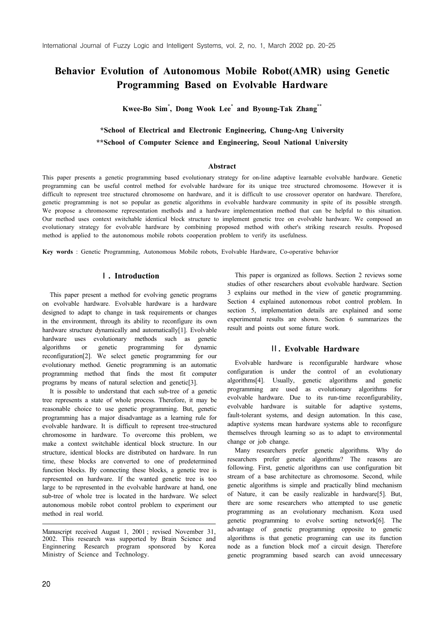# **Behavior Evolution of Autonomous Mobile Robot(AMR) using Genetic Programming Based on Evolvable Hardware**

**Kwee-Bo Sim\* , Dong Wook Lee\* and Byoung-Tak Zhang\*\***

**\*School of Electrical and Electronic Engineering, Chung-Ang University**

**\*\*School of Computer Science and Engineering, Seoul National University**

### **Abstract**

This paper presents a genetic programming based evolutionary strategy for on-line adaptive learnable evolvable hardware. Genetic programming can be useful control method for evolvable hardware for its unique tree structured chromosome. However it is difficult to represent tree structured chromosome on hardware, and it is difficult to use crossover operator on hardware. Therefore, genetic programming is not so popular as genetic algorithms in evolvable hardware community in spite of its possible strength. We propose a chromosome representation methods and a hardware implementation method that can be helpful to this situation. Our method uses context switchable identical block structure to implement genetic tree on evolvable hardware. We composed an evolutionary strategy for evolvable hardware by combining proposed method with other's striking research results. Proposed method is applied to the autonomous mobile robots cooperation problem to verify its usefulness.

**Key words** : Genetic Programming, Autonomous Mobile robots, Evolvable Hardware, Co-operative behavior

# Ⅰ**. Introduction**

This paper present a method for evolving genetic programs on evolvable hardware. Evolvable hardware is a hardware designed to adapt to change in task requirements or changes in the environment, through its ability to reconfigure its own hardware structure dynamically and automatically[1]. Evolvable hardware uses evolutionary methods such as genetic algorithms or genetic programming for dynamic reconfiguration[2]. We select genetic programming for our evolutionary method. Genetic programming is an automatic programming method that finds the most fit computer programs by means of natural selection and genetic[3].

It is possible to understand that each sub-tree of a genetic tree represents a state of whole process. Therefore, it may be reasonable choice to use genetic programming. But, genetic programming has a major disadvantage as a learning rule for evolvable hardware. It is difficult to represent tree-structured chromosome in hardware. To overcome this problem, we make a context switchable identical block structure. In our structure, identical blocks are distributed on hardware. In run time, these blocks are converted to one of predetermined function blocks. By connecting these blocks, a genetic tree is represented on hardware. If the wanted genetic tree is too large to be represented in the evolvable hardware at hand, one sub-tree of whole tree is located in the hardware. We select autonomous mobile robot control problem to experiment our method in real world.

This paper is organized as follows. Section 2 reviews some studies of other researchers about evolvable hardware. Section 3 explains our method in the view of genetic programming. Section 4 explained autonomous robot control problem. In section 5, implementation details are explained and some experimental results are shown. Section 6 summarizes the result and points out some future work.

# Ⅱ**. Evolvable Hardware**

Evolvable hardware is reconfigurable hardware whose configuration is under the control of an evolutionary algorithms[4]. Usually, genetic algorithms and genetic programming are used as evolutionary algorithms for evolvable hardware. Due to its run-time reconfigurability, evolvable hardware is suitable for adaptive systems, fault-tolerant systems, and design automation. In this case, adaptive systems mean hardware systems able to reconfigure themselves through learning so as to adapt to environmental change or job change.

Many researchers prefer genetic algorithms. Why do researchers prefer genetic algorithms? The reasons are following. First, genetic algorithms can use configuration bit stream of a base architecture as chromosome. Second, while genetic algorithms is simple and practically blind mechanism of Nature, it can be easily realizable in hardware[5]. But, there are some researchers who attempted to use genetic programming as an evolutionary mechanism. Koza used genetic programming to evolve sorting network[6]. The advantage of genetic programming opposite to genetic algorithms is that genetic programing can use its function node as a function block mof a circuit design. Therefore genetic programming based search can avoid unnecessary

Manuscript received August 1, 2001 ; revised November 31, 2002. This research was supported by Brain Science and Enginnering Research program sponsored by Korea Ministry of Science and Technology.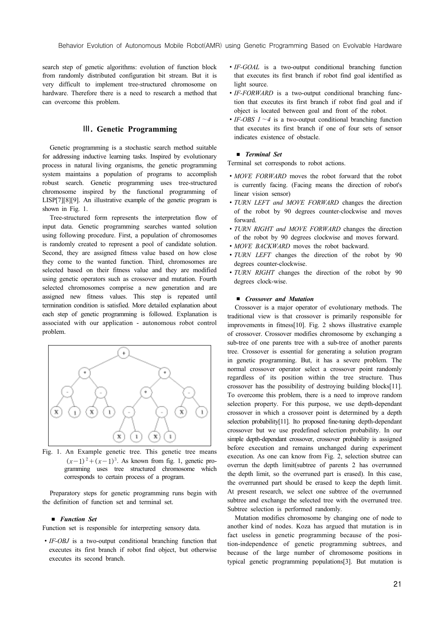search step of genetic algorithms: evolution of function block from randomly distributed configuration bit stream. But it is very difficult to implement tree-structured chromosome on hardware. Therefore there is a need to research a method that can overcome this problem.

# Ⅲ**. Genetic Programming**

Genetic programming is a stochastic search method suitable for addressing inductive learning tasks. Inspired by evolutionary process in natural living organisms, the genetic programming system maintains a population of programs to accomplish robust search. Genetic programming uses tree-structured chromosome inspired by the functional programming of LISP[7][8][9]. An illustrative example of the genetic program is shown in Fig. 1.

Tree-structured form represents the interpretation flow of input data. Genetic programming searches wanted solution using following procedure. First, a population of chromosomes is randomly created to represent a pool of candidate solution. Second, they are assigned fitness value based on how close they come to the wanted function. Third, chromosomes are selected based on their fitness value and they are modified using genetic operators such as crossover and mutation. Fourth selected chromosomes comprise a new generation and are assigned new fitness values. This step is repeated until termination condition is satisfied. More detailed explanation about each step of genetic programming is followed. Explanation is associated with our application - autonomous robot control problem.



Fig. 1. An Example genetic tree. This genetic tree means  $(x-1)^2 + (x-1)^3$ . As known from fig. 1, genetic programming uses tree structured chromosome which corresponds to certain process of a program.

Preparatory steps for genetic programming runs begin with the definition of function set and terminal set.

### ■ *Function Set*

Function set is responsible for interpreting sensory data.

∙*IF-OBJ* is a two-output conditional branching function that executes its first branch if robot find object, but otherwise executes its second branch.

- ∙*IF-GOAL* is a two-output conditional branching function that executes its first branch if robot find goal identified as light source.
- ∙*IF-FORWARD* is a two-output conditional branching function that executes its first branch if robot find goal and if object is located between goal and front of the robot.
- ∙*IF-OBS 1*∼*4* is a two-output conditional branching function that executes its first branch if one of four sets of sensor indicates existence of obstacle.

#### ■ *Terminal Set*

Terminal set corresponds to robot actions.

- ∙*MOVE FORWARD* moves the robot forward that the robot is currently facing. (Facing means the direction of robot's linear vision sensor)
- ∙*TURN LEFT and MOVE FORWARD* changes the direction of the robot by 90 degrees counter-clockwise and moves forward.
- ∙*TURN RIGHT and MOVE FORWARD* changes the direction of the robot by 90 degrees clockwise and moves forward.
- ∙*MOVE BACKWARD* moves the robot backward.
- ∙*TURN LEFT* changes the direction of the robot by 90 degrees counter-clockwise.
- ∙*TURN RIGHT* changes the direction of the robot by 90 degrees clock-wise.

### ■ *Crossover and Mutation*

Crossover is a major operator of evolutionary methods. The traditional view is that crossover is primarily responsible for improvements in fitness[10]. Fig. 2 shows illustrative example of crossover. Crossover modifies chromosome by exchanging a sub-tree of one parents tree with a sub-tree of another parents tree. Crossover is essential for generating a solution program in genetic programming. But, it has a severe problem. The normal crossover operator select a crossover point randomly regardless of its position within the tree structure. Thus crossover has the possibility of destroying building blocks[11]. To overcome this problem, there is a need to improve random selection property. For this purpose, we use depth-dependant crossover in which a crossover point is determined by a depth selection probability[11]. Ito proposed fine-tuning depth-dependant crossover but we use predefined selection probability. In our simple depth-dependant crossover, crossover probability is assigned before execution and remains unchanged during experiment execution. As one can know from Fig. 2, selection sbutree can overrun the depth limit(subtree of parents 2 has overrunned the depth limit, so the overruned part is erased). In this case, the overrunned part should be erased to keep the depth limit. At present research, we select one subtree of the overrunned subtree and exchange the selected tree with the overruned tree. Subtree selection is performed randomly.

Mutation modifies chromosome by changing one of node to another kind of nodes. Koza has argued that mutation is in fact useless in genetic programming because of the position-independence of genetic programming subtrees, and because of the large number of chromosome positions in typical genetic programming populations[3]. But mutation is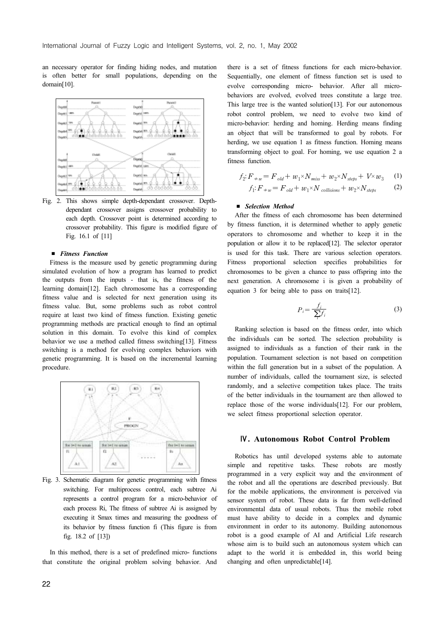an necessary operator for finding hiding nodes, and mutation is often better for small populations, depending on the domain[10].



Fig. 2. This shows simple depth-dependant crossover. Depthdependant crossover assigns crossover probability to each depth. Crossover point is determined according to crossover probability. This figure is modified figure of Fig. 16.1 of [11]

### ■ *Fitness Function*

Fitness is the measure used by genetic programming during simulated evolution of how a program has learned to predict the outputs from the inputs - that is, the fitness of the learning domain[12]. Each chromosome has a corresponding fitness value and is selected for next generation using its fitness value. But, some problems such as robot control require at least two kind of fitness function. Existing genetic programming methods are practical enough to find an optimal solution in this domain. To evolve this kind of complex behavior we use a method called fitness switching[13]. Fitness switching is a method for evolving complex behaviors with genetic programming. It is based on the incremental learning procedure.



Fig. 3. Schematic diagram for genetic programming with fitness switching. For multiprocess control, each subtree Ai represents a control program for a micro-behavior of each process Ri, The fitness of subtree Ai is assigned by executing it Smax times and measuring the goodness of its behavior by fitness function fi (This figure is from fig. 18.2 of [13])

In this method, there is a set of predefined micro- functions that constitute the original problem solving behavior. And

there is a set of fitness functions for each micro-behavior. Sequentially, one element of fitness function set is used to evolve corresponding micro- behavior. After all microbehaviors are evolved, evolved trees constitute a large tree. This large tree is the wanted solution[13]. For our autonomous robot control problem, we need to evolve two kind of micro-behavior: herding and homing. Herding means finding an object that will be transformed to goal by robots. For herding, we use equation 1 as fitness function. Homing means transforming object to goal. For homing, we use equation 2 a fitness function.

$$
f_2: F_{\neq w} = F_{old} + w_1 \times N_{miss} + w_2 \times N_{steps} + V \times w_3 \tag{1}
$$

$$
f_1: F_{\neq w} = F_{old} + w_1 \times N_{\text{collisions}} + w_2 \times N_{\text{steps}} \tag{2}
$$

#### ■ *Selection Method*

After the fitness of each chromosome has been determined by fitness function, it is determined whether to apply genetic operators to chromosome and whether to keep it in the population or allow it to be replaced[12]. The selector operator is used for this task. There are various selection operators. Fitness proportional selection specifies probabilities for chromosomes to be given a chance to pass offspring into the next generation. A chromosome i is given a probability of equation 3 for being able to pass on traits[12].

$$
P_i = \frac{f_i}{\sum_i f_i} \tag{3}
$$

Ranking selection is based on the fitness order, into which the individuals can be sorted. The selection probability is assigned to individuals as a function of their rank in the population. Tournament selection is not based on competition within the full generation but in a subset of the population. A number of individuals, called the tournament size, is selected randomly, and a selective competition takes place. The traits of the better individuals in the tournament are then allowed to replace those of the worse individuals[12]. For our problem, we select fitness proportional selection operator.

# Ⅳ**. Autonomous Robot Control Problem**

Robotics has until developed systems able to automate simple and repetitive tasks. These robots are mostly programmed in a very explicit way and the environment of the robot and all the operations are described previously. But for the mobile applications, the environment is perceived via sensor system of robot. These data is far from well-defined environmental data of usual robots. Thus the mobile robot must have ability to decide in a complex and dynamic environment in order to its autonomy. Building autonomous robot is a good example of AI and Artificial Life research whose aim is to build such an autonomous system which can adapt to the world it is embedded in, this world being changing and often unpredictable<sup>[14]</sup>.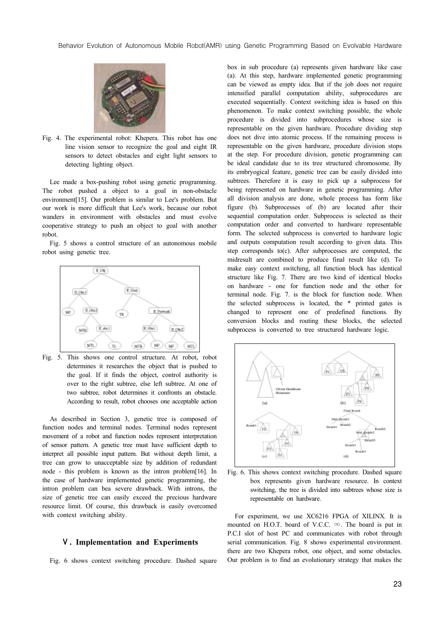

Fig. 4. The experimental robot: Khepera. This robot has one line vision sensor to recognize the goal and eight IR sensors to detect obstacles and eight light sensors to detecting lighting object.

Lee made a box-pushing robot using genetic programming. The robot pushed a object to a goal in non-obstacle environment[15]. Our problem is similar to Lee's problem. But our work is more difficult that Lee's work, because our robot wanders in environment with obstacles and must evolve cooperative strategy to push an object to goal with another robot.

Fig. 5 shows a control structure of an autonomous mobile robot using genetic tree.



Fig. 5. This shows one control structure. At robot, robot determines it researches the object that is pushed to the goal. If it finds the object, control authority is over to the right subtree, else left subtree. At one of two subtree, robot determines it confronts an obstacle. According to result, robot chooses one acceptable action

As described in Section 3, genetic tree is composed of function nodes and terminal nodes. Terminal nodes represent movement of a robot and function nodes represent interpretation of sensor pattern. A genetic tree must have sufficient depth to interpret all possible input pattern. But without depth limit, a tree can grow to unacceptable size by addition of redundant node - this problem is known as the intron problem[16]. In the case of hardware implemented genetic programming, the intron problem can bea severe drawback. With introns, the size of genetic tree can easily exceed the precious hardware resource limit. Of course, this drawback is easily overcomed with context switching ability.

### Ⅴ**. Implementation and Experiments**

Fig. 6 shows context switching procedure. Dashed square

box in sub procedure (a) represents given hardware like case (a). At this step, hardware implemented genetic programming can be viewed as empty idea. But if the job does not require intensified parallel computation ability, subprocedures are executed sequentially. Context switching idea is based on this phenomenon. To make context switching possible, the whole procedure is divided into subprocedures whose size is representable on the given hardware. Procedure dividing step does not dive into atomic process. If the remaining process is representable on the given hardware, procedure division stops at the step. For procedure division, genetic programming can be ideal candidate due to its tree structured chromosome. By its embryogical feature, genetic tree can be easily divided into subtrees. Therefore it is easy to pick up a subprocess for being represented on hardware in genetic programming. After all division analysis are done, whole process has form like figure (b). Subprocesses of (b) are located after their sequential computation order. Subprocess is selected as their computation order and converted to hardware representable form. The selected subprocess is converted to hardware logic and outputs computation result according to given data. This step corresponds to(c). After subprocesses are computed, the midresult are combined to produce final result like (d). To make easy context switching, all function block has identical structure like Fig. 7. There are two kind of identical blocks on hardware - one for function node and the other for terminal node. Fig. 7. is the block for function node. When the selected subprocess is located, the \* printed gates is changed to represent one of predefined functions. By conversion blocks and routing these blocks, the selected subprocess is converted to tree structured hardware logic.



Fig. 6. This shows context switching procedure. Dashed square box represents given hardware resource. In context switching, the tree is divided into subtrees whose size is representable on hardware.

For experiment, we use XC6216 FPGA of XILINX. It is mounted on H.O.T. board of V.C.C. ∞. The board is put in P.C.I slot of host PC and communicates with robot through serial communication. Fig. 8 shows experimental environment. there are two Khepera robot, one object, and some obstacles. Our problem is to find an evolutionary strategy that makes the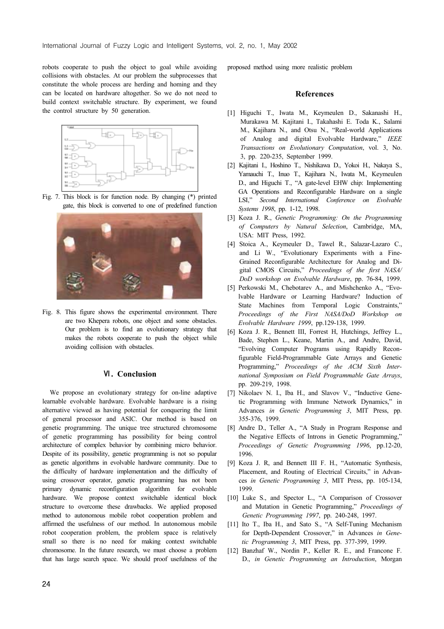robots cooperate to push the object to goal while avoiding collisions with obstacles. At our problem the subprocesses that constitute the whole process are herding and homing and they can be located on hardware altogether. So we do not need to build context switchable structure. By experiment, we found the control structure by 50 generation.



Fig. 7. This block is for function node. By changing (\*) printed gate, this block is converted to one of predefined function



Fig. 8. This figure shows the experimental environment. There are two Khepera robots, one object and some obstacles. Our problem is to find an evolutionary strategy that makes the robots cooperate to push the object while avoiding collision with obstacles.

## Ⅵ**. Conclusion**

We propose an evolutionary strategy for on-line adaptive learnable evolvable hardware. Evolvable hardware is a rising alternative viewed as having potential for conquering the limit of general processor and ASIC. Our method is based on genetic programming. The unique tree structured chromosome of genetic programming has possibility for being control architecture of complex behavior by combining micro behavior. Despite of its possibility, genetic programming is not so popular as genetic algorithms in evolvable hardware community. Due to the difficulty of hardware implementation and the difficulty of using crossover operator, genetic programming has not been primary dynamic reconfiguration algorithm for evolvable hardware. We propose context switchable identical block structure to overcome these drawbacks. We applied proposed method to autonomous mobile robot cooperation problem and affirmed the usefulness of our method. In autonomous mobile robot cooperation problem, the problem space is relatively small so there is no need for making context switchable chromosome. In the future research, we must choose a problem that has large search space. We should proof usefulness of the proposed method using more realistic problem

### **References**

- [1] Higuchi T., Iwata M., Keymeulen D., Sakanashi H., Murakawa M. Kajitani I., Takahashi E. Toda K., Salami M., Kajihara N., and Otsu N., "Real-world Applications of Analog and digital Evolvable Hardware," *IEEE Transactions on Evolutionary Computation*, vol. 3, No. 3, pp. 220-235, September 1999.
- [2] Kajitani I., Hoshino T., Nishikawa D., Yokoi H., Nakaya S., Yamauchi T., Inuo T., Kajihara N., Iwata M., Keymeulen D., and Higuchi T., "A gate-level EHW chip: Implementing GA Operations and Reconfigurable Hardware on a single LSI," *Second International Conference on Evolvable Systems 1998*, pp. 1-12, 1998.
- [3] Koza J. R., *Genetic Programming: On the Programming of Computers by Natural Selection*, Cambridge, MA, USA: MIT Press, 1992.
- [4] Stoica A., Keymeuler D., Tawel R., Salazar-Lazaro C., and Li W., "Evolutionary Experiments with a Fine-Grained Reconfigurable Architecture for Analog and Digital CMOS Circuits," *Proceedings of the first NASA/ DoD workshop on Evolvable Hardware*, pp. 76-84, 1999.
- [5] Perkowski M., Chebotarev A., and Mishchenko A., "Evolvable Hardware or Learning Hardware? Induction of State Machines from Temporal Logic Constraints," *Proceedings of the First NASA/DoD Workshop on Evolvable Hardware 1999*, pp.129-138, 1999.
- [6] Koza J. R., Bennett III, Forrest H, Hutchings, Jeffrey L., Bade, Stephen L., Keane, Martin A., and Andre, David, "Evolving Computer Programs using Rapidly Reconfigurable Field-Programmable Gate Arrays and Genetic Programming," *Proceedings of the ACM Sixth International Symposium on Field Programmable Gate Arrays*, pp. 209-219, 1998.
- [7] Nikolaev N. I., Iba H., and Slavov V., "Inductive Genetic Programming with Immune Network Dynamics," in Advances *in Genetic Programming 3*, MIT Press, pp. 355-376, 1999.
- [8] Andre D., Teller A., "A Study in Program Response and the Negative Effects of Introns in Genetic Programming," *Proceedings of Genetic Programming 1996*, pp.12-20, 1996.
- [9] Koza J. R, and Bennett III F. H., "Automatic Synthesis, Placement, and Routing of Electrical Circuits," in Advances *in Genetic Programming 3*, MIT Press, pp. 105-134, 1999.
- [10] Luke S., and Spector L., "A Comparison of Crossover and Mutation in Genetic Programming," *Proceedings of Genetic Programming 1997*, pp. 240-248, 1997.
- [11] Ito T., Iba H., and Sato S., "A Self-Tuning Mechanism for Depth-Dependent Crossover," in Advances *in Genetic Programming 3*, MIT Press, pp. 377-399, 1999.
- [12] Banzhaf W., Nordin P., Keller R. E., and Francone F. D., *in Genetic Programming an Introduction*, Morgan